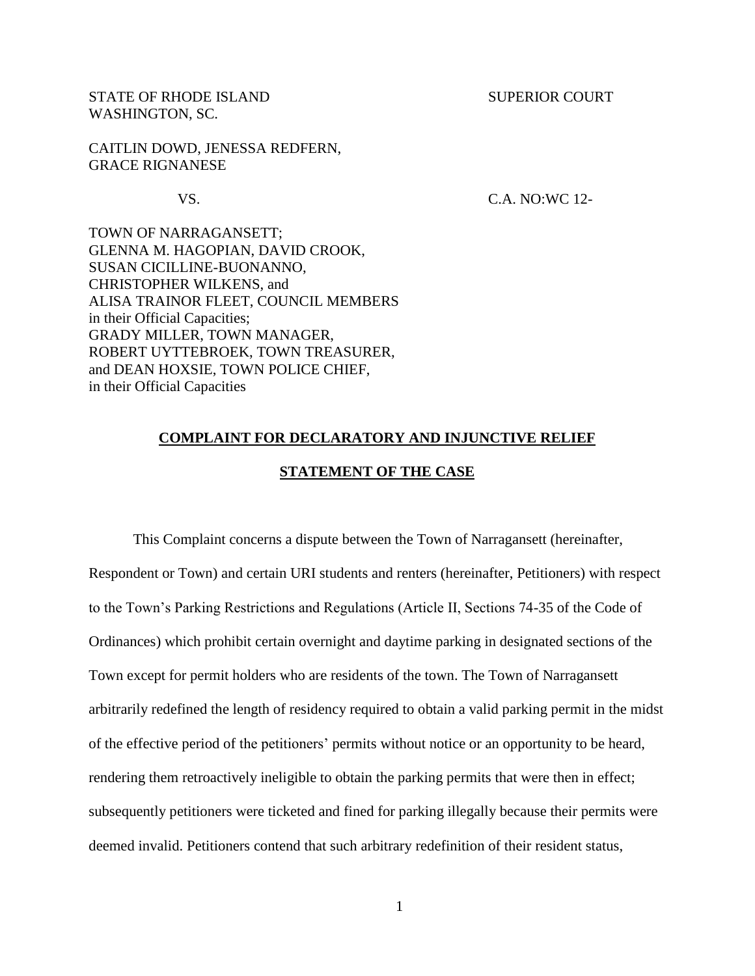STATE OF RHODE ISLAND SUPERIOR COURT WASHINGTON, SC.

CAITLIN DOWD, JENESSA REDFERN, GRACE RIGNANESE

### VS. C.A. NO:WC 12-

TOWN OF NARRAGANSETT; GLENNA M. HAGOPIAN, DAVID CROOK, SUSAN CICILLINE-BUONANNO, CHRISTOPHER WILKENS, and ALISA TRAINOR FLEET, COUNCIL MEMBERS in their Official Capacities; GRADY MILLER, TOWN MANAGER, ROBERT UYTTEBROEK, TOWN TREASURER, and DEAN HOXSIE, TOWN POLICE CHIEF, in their Official Capacities

## **COMPLAINT FOR DECLARATORY AND INJUNCTIVE RELIEF**

## **STATEMENT OF THE CASE**

This Complaint concerns a dispute between the Town of Narragansett (hereinafter, Respondent or Town) and certain URI students and renters (hereinafter, Petitioners) with respect to the Town's Parking Restrictions and Regulations (Article II, Sections 74-35 of the Code of Ordinances) which prohibit certain overnight and daytime parking in designated sections of the Town except for permit holders who are residents of the town. The Town of Narragansett arbitrarily redefined the length of residency required to obtain a valid parking permit in the midst of the effective period of the petitioners' permits without notice or an opportunity to be heard, rendering them retroactively ineligible to obtain the parking permits that were then in effect; subsequently petitioners were ticketed and fined for parking illegally because their permits were deemed invalid. Petitioners contend that such arbitrary redefinition of their resident status,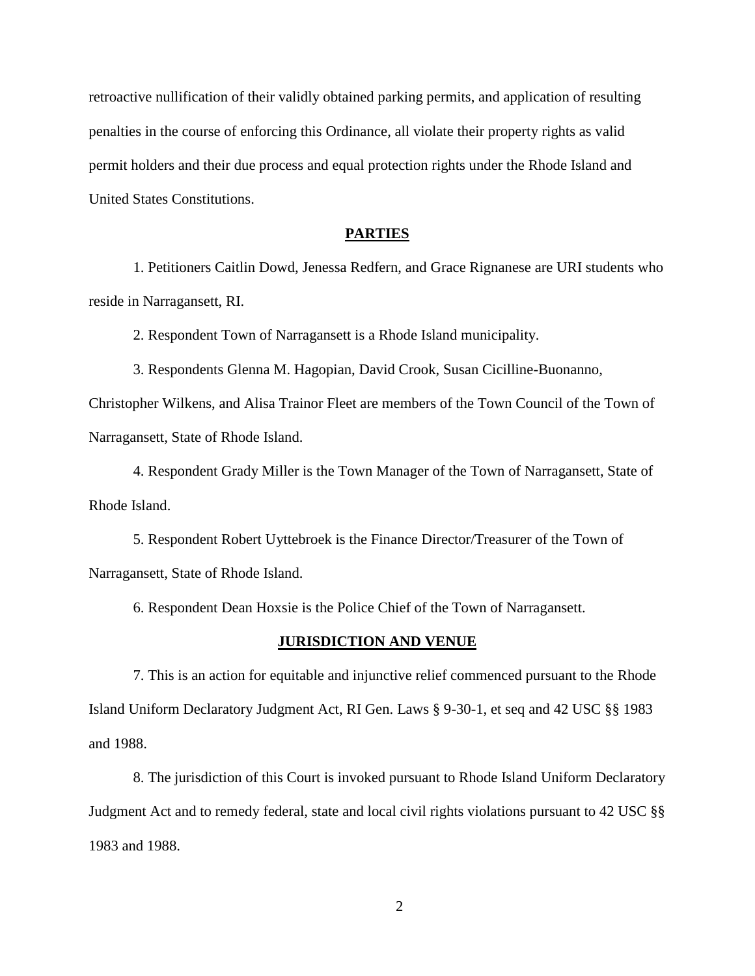retroactive nullification of their validly obtained parking permits, and application of resulting penalties in the course of enforcing this Ordinance, all violate their property rights as valid permit holders and their due process and equal protection rights under the Rhode Island and United States Constitutions.

#### **PARTIES**

1. Petitioners Caitlin Dowd, Jenessa Redfern, and Grace Rignanese are URI students who reside in Narragansett, RI.

2. Respondent Town of Narragansett is a Rhode Island municipality.

3. Respondents Glenna M. Hagopian, David Crook, Susan Cicilline-Buonanno,

Christopher Wilkens, and Alisa Trainor Fleet are members of the Town Council of the Town of Narragansett, State of Rhode Island.

4. Respondent Grady Miller is the Town Manager of the Town of Narragansett, State of Rhode Island.

5. Respondent Robert Uyttebroek is the Finance Director/Treasurer of the Town of Narragansett, State of Rhode Island.

6. Respondent Dean Hoxsie is the Police Chief of the Town of Narragansett.

#### **JURISDICTION AND VENUE**

7. This is an action for equitable and injunctive relief commenced pursuant to the Rhode Island Uniform Declaratory Judgment Act, RI Gen. Laws § 9-30-1, et seq and 42 USC §§ 1983 and 1988.

8. The jurisdiction of this Court is invoked pursuant to Rhode Island Uniform Declaratory Judgment Act and to remedy federal, state and local civil rights violations pursuant to 42 USC §§ 1983 and 1988.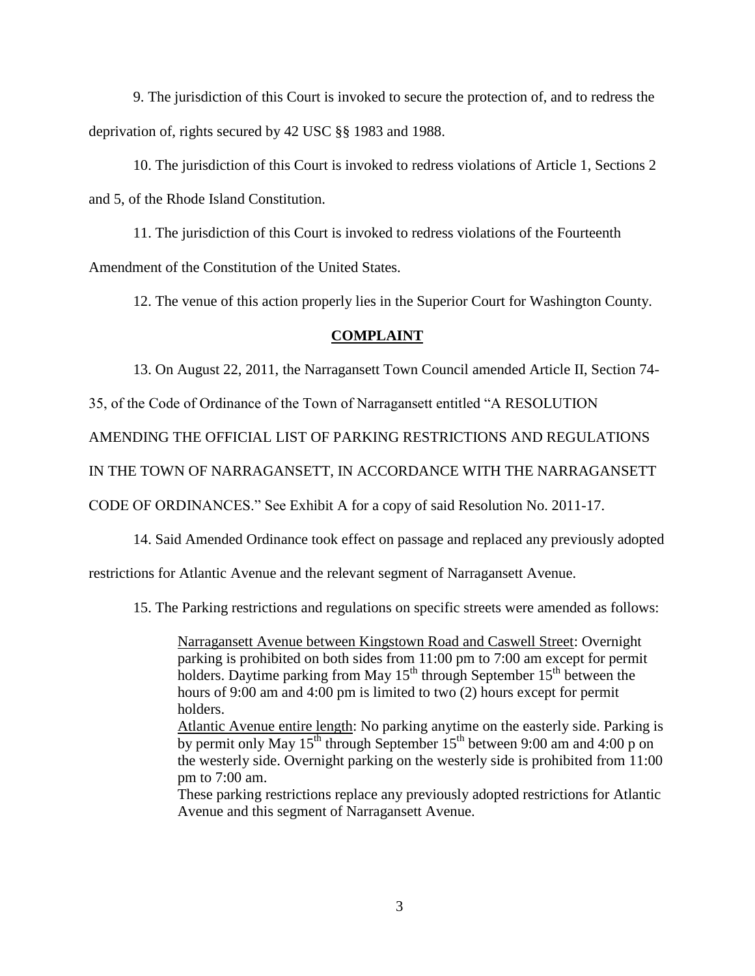9. The jurisdiction of this Court is invoked to secure the protection of, and to redress the deprivation of, rights secured by 42 USC §§ 1983 and 1988.

10. The jurisdiction of this Court is invoked to redress violations of Article 1, Sections 2 and 5, of the Rhode Island Constitution.

11. The jurisdiction of this Court is invoked to redress violations of the Fourteenth Amendment of the Constitution of the United States.

12. The venue of this action properly lies in the Superior Court for Washington County.

## **COMPLAINT**

13. On August 22, 2011, the Narragansett Town Council amended Article II, Section 74-

35, of the Code of Ordinance of the Town of Narragansett entitled "A RESOLUTION

AMENDING THE OFFICIAL LIST OF PARKING RESTRICTIONS AND REGULATIONS

IN THE TOWN OF NARRAGANSETT, IN ACCORDANCE WITH THE NARRAGANSETT

CODE OF ORDINANCES." See Exhibit A for a copy of said Resolution No. 2011-17.

14. Said Amended Ordinance took effect on passage and replaced any previously adopted

restrictions for Atlantic Avenue and the relevant segment of Narragansett Avenue.

15. The Parking restrictions and regulations on specific streets were amended as follows:

Narragansett Avenue between Kingstown Road and Caswell Street: Overnight parking is prohibited on both sides from 11:00 pm to 7:00 am except for permit holders. Daytime parking from May  $15<sup>th</sup>$  through September  $15<sup>th</sup>$  between the hours of 9:00 am and 4:00 pm is limited to two (2) hours except for permit holders.

Atlantic Avenue entire length: No parking anytime on the easterly side. Parking is by permit only May  $15^{th}$  through September  $15^{th}$  between 9:00 am and 4:00 p on the westerly side. Overnight parking on the westerly side is prohibited from 11:00 pm to 7:00 am.

These parking restrictions replace any previously adopted restrictions for Atlantic Avenue and this segment of Narragansett Avenue.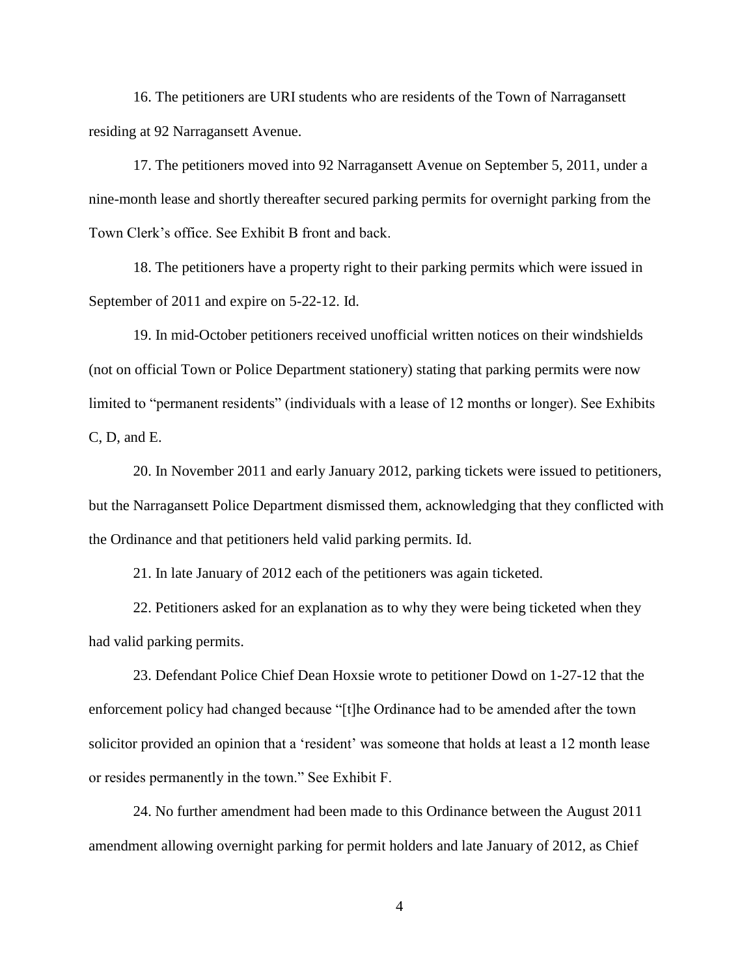16. The petitioners are URI students who are residents of the Town of Narragansett residing at 92 Narragansett Avenue.

17. The petitioners moved into 92 Narragansett Avenue on September 5, 2011, under a nine-month lease and shortly thereafter secured parking permits for overnight parking from the Town Clerk's office. See Exhibit B front and back.

18. The petitioners have a property right to their parking permits which were issued in September of 2011 and expire on 5-22-12. Id.

19. In mid-October petitioners received unofficial written notices on their windshields (not on official Town or Police Department stationery) stating that parking permits were now limited to "permanent residents" (individuals with a lease of 12 months or longer). See Exhibits C, D, and E.

20. In November 2011 and early January 2012, parking tickets were issued to petitioners, but the Narragansett Police Department dismissed them, acknowledging that they conflicted with the Ordinance and that petitioners held valid parking permits. Id.

21. In late January of 2012 each of the petitioners was again ticketed.

22. Petitioners asked for an explanation as to why they were being ticketed when they had valid parking permits.

23. Defendant Police Chief Dean Hoxsie wrote to petitioner Dowd on 1-27-12 that the enforcement policy had changed because "[t]he Ordinance had to be amended after the town solicitor provided an opinion that a 'resident' was someone that holds at least a 12 month lease or resides permanently in the town." See Exhibit F.

24. No further amendment had been made to this Ordinance between the August 2011 amendment allowing overnight parking for permit holders and late January of 2012, as Chief

4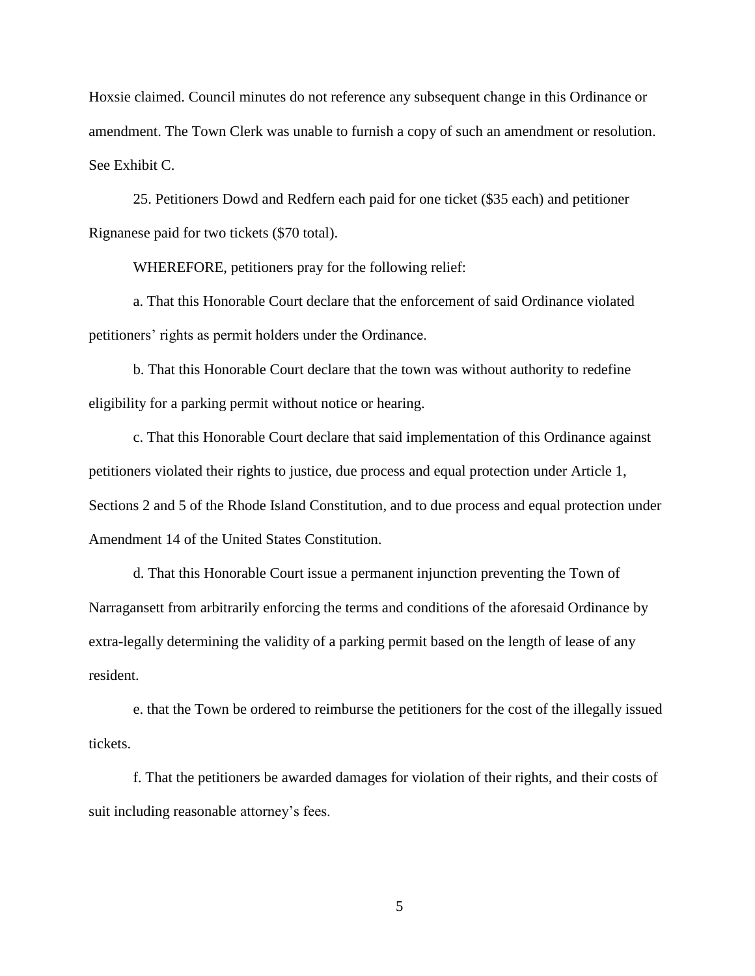Hoxsie claimed. Council minutes do not reference any subsequent change in this Ordinance or amendment. The Town Clerk was unable to furnish a copy of such an amendment or resolution. See Exhibit C.

25. Petitioners Dowd and Redfern each paid for one ticket (\$35 each) and petitioner Rignanese paid for two tickets (\$70 total).

WHEREFORE, petitioners pray for the following relief:

a. That this Honorable Court declare that the enforcement of said Ordinance violated petitioners' rights as permit holders under the Ordinance.

b. That this Honorable Court declare that the town was without authority to redefine eligibility for a parking permit without notice or hearing.

c. That this Honorable Court declare that said implementation of this Ordinance against petitioners violated their rights to justice, due process and equal protection under Article 1, Sections 2 and 5 of the Rhode Island Constitution, and to due process and equal protection under Amendment 14 of the United States Constitution.

d. That this Honorable Court issue a permanent injunction preventing the Town of Narragansett from arbitrarily enforcing the terms and conditions of the aforesaid Ordinance by extra-legally determining the validity of a parking permit based on the length of lease of any resident.

e. that the Town be ordered to reimburse the petitioners for the cost of the illegally issued tickets.

f. That the petitioners be awarded damages for violation of their rights, and their costs of suit including reasonable attorney's fees.

5